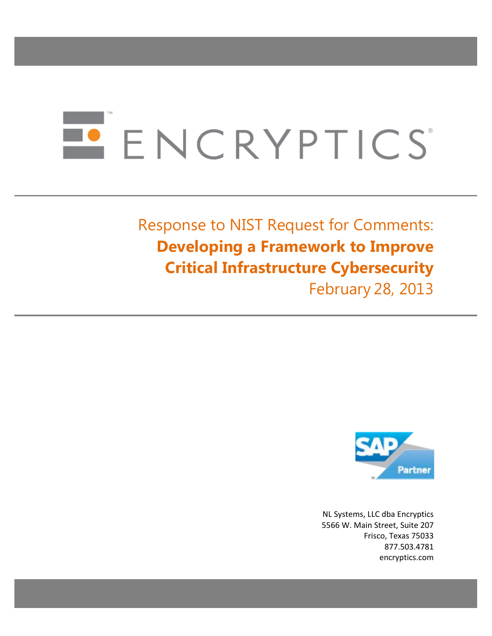# ENCRYPTICS

# Response to NIST Request for Comments: **Developing a Framework to Improve Critical Infrastructure Cybersecurity**

February 28, 2013



NL Systems, LLC dba Encryptics 5566 W. Main Street, Suite 207 Frisco, Texas 75033 877.503.4781 encryptics.com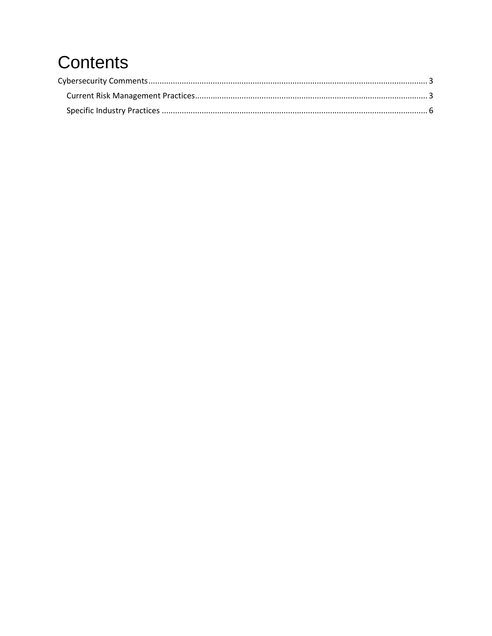# Contents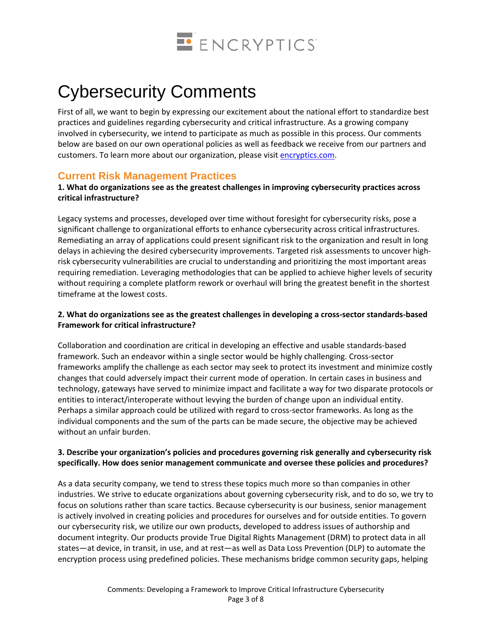

# <span id="page-2-0"></span>Cybersecurity Comments

First of all, we want to begin by expressing our excitement about the national effort to standardize best practices and guidelines regarding cybersecurity and critical infrastructure. As a growing company involved in cybersecurity, we intend to participate as much as possible in this process. Our comments below are based on our own operational policies as well as feedback we receive from our partners and customers. To learn more about our organization, please visit [encryptics.com.](http://www.encryptics.com/)

# <span id="page-2-1"></span>**Current Risk Management Practices**

# **1. What do organizations see as the greatest challenges in improving cybersecurity practices across critical infrastructure?**

Legacy systems and processes, developed over time without foresight for cybersecurity risks, pose a significant challenge to organizational efforts to enhance cybersecurity across critical infrastructures. Remediating an array of applications could present significant risk to the organization and result in long delays in achieving the desired cybersecurity improvements. Targeted risk assessments to uncover highrisk cybersecurity vulnerabilities are crucial to understanding and prioritizing the most important areas requiring remediation. Leveraging methodologies that can be applied to achieve higher levels of security without requiring a complete platform rework or overhaul will bring the greatest benefit in the shortest timeframe at the lowest costs.

# **2. What do organizations see as the greatest challenges in developing a cross-sector standards-based Framework for critical infrastructure?**

Collaboration and coordination are critical in developing an effective and usable standards-based framework. Such an endeavor within a single sector would be highly challenging. Cross-sector frameworks amplify the challenge as each sector may seek to protect its investment and minimize costly changes that could adversely impact their current mode of operation. In certain cases in business and technology, gateways have served to minimize impact and facilitate a way for two disparate protocols or entities to interact/interoperate without levying the burden of change upon an individual entity. Perhaps a similar approach could be utilized with regard to cross-sector frameworks. As long as the individual components and the sum of the parts can be made secure, the objective may be achieved without an unfair burden.

# **3. Describe your organization's policies and procedures governing risk generally and cybersecurity risk specifically. How does senior management communicate and oversee these policies and procedures?**

As a data security company, we tend to stress these topics much more so than companies in other industries. We strive to educate organizations about governing cybersecurity risk, and to do so, we try to focus on solutions rather than scare tactics. Because cybersecurity is our business, senior management is actively involved in creating policies and procedures for ourselves and for outside entities. To govern our cybersecurity risk, we utilize our own products, developed to address issues of authorship and document integrity. Our products provide True Digital Rights Management (DRM) to protect data in all states—at device, in transit, in use, and at rest—as well as Data Loss Prevention (DLP) to automate the encryption process using predefined policies. These mechanisms bridge common security gaps, helping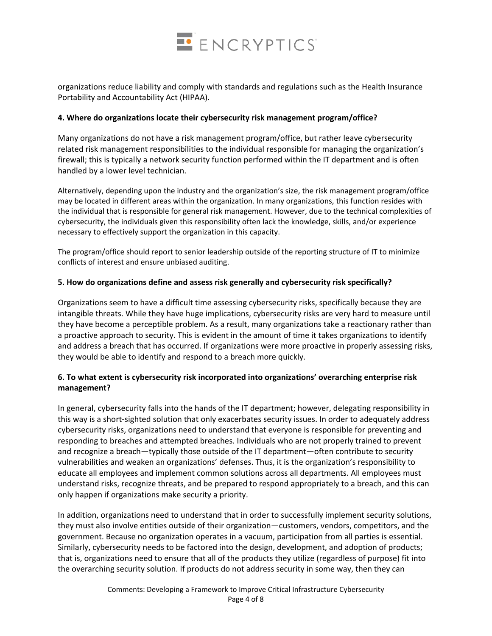

organizations reduce liability and comply with standards and regulations such as the Health Insurance Portability and Accountability Act (HIPAA).

#### **4. Where do organizations locate their cybersecurity risk management program/office?**

Many organizations do not have a risk management program/office, but rather leave cybersecurity related risk management responsibilities to the individual responsible for managing the organization's firewall; this is typically a network security function performed within the IT department and is often handled by a lower level technician.

Alternatively, depending upon the industry and the organization's size, the risk management program/office may be located in different areas within the organization. In many organizations, this function resides with the individual that is responsible for general risk management. However, due to the technical complexities of cybersecurity, the individuals given this responsibility often lack the knowledge, skills, and/or experience necessary to effectively support the organization in this capacity.

The program/office should report to senior leadership outside of the reporting structure of IT to minimize conflicts of interest and ensure unbiased auditing.

#### **5. How do organizations define and assess risk generally and cybersecurity risk specifically?**

Organizations seem to have a difficult time assessing cybersecurity risks, specifically because they are intangible threats. While they have huge implications, cybersecurity risks are very hard to measure until they have become a perceptible problem. As a result, many organizations take a reactionary rather than a proactive approach to security. This is evident in the amount of time it takes organizations to identify and address a breach that has occurred. If organizations were more proactive in properly assessing risks, they would be able to identify and respond to a breach more quickly.

# **6. To what extent is cybersecurity risk incorporated into organizations' overarching enterprise risk management?**

In general, cybersecurity falls into the hands of the IT department; however, delegating responsibility in this way is a short-sighted solution that only exacerbates security issues. In order to adequately address cybersecurity risks, organizations need to understand that everyone is responsible for preventing and responding to breaches and attempted breaches. Individuals who are not properly trained to prevent and recognize a breach—typically those outside of the IT department—often contribute to security vulnerabilities and weaken an organizations' defenses. Thus, it is the organization's responsibility to educate all employees and implement common solutions across all departments. All employees must understand risks, recognize threats, and be prepared to respond appropriately to a breach, and this can only happen if organizations make security a priority.

In addition, organizations need to understand that in order to successfully implement security solutions, they must also involve entities outside of their organization—customers, vendors, competitors, and the government. Because no organization operates in a vacuum, participation from all parties is essential. Similarly, cybersecurity needs to be factored into the design, development, and adoption of products; that is, organizations need to ensure that all of the products they utilize (regardless of purpose) fit into the overarching security solution. If products do not address security in some way, then they can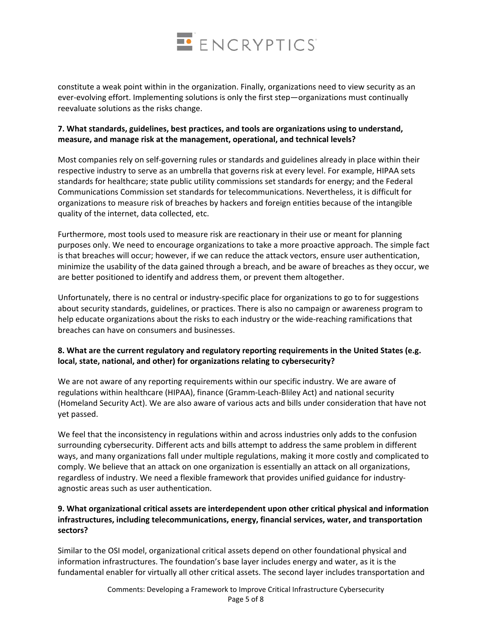

constitute a weak point within in the organization. Finally, organizations need to view security as an ever-evolving effort. Implementing solutions is only the first step—organizations must continually reevaluate solutions as the risks change.

# **7. What standards, guidelines, best practices, and tools are organizations using to understand, measure, and manage risk at the management, operational, and technical levels?**

Most companies rely on self-governing rules or standards and guidelines already in place within their respective industry to serve as an umbrella that governs risk at every level. For example, HIPAA sets standards for healthcare; state public utility commissions set standards for energy; and the Federal Communications Commission set standards for telecommunications. Nevertheless, it is difficult for organizations to measure risk of breaches by hackers and foreign entities because of the intangible quality of the internet, data collected, etc.

Furthermore, most tools used to measure risk are reactionary in their use or meant for planning purposes only. We need to encourage organizations to take a more proactive approach. The simple fact is that breaches will occur; however, if we can reduce the attack vectors, ensure user authentication, minimize the usability of the data gained through a breach, and be aware of breaches as they occur, we are better positioned to identify and address them, or prevent them altogether.

Unfortunately, there is no central or industry-specific place for organizations to go to for suggestions about security standards, guidelines, or practices. There is also no campaign or awareness program to help educate organizations about the risks to each industry or the wide-reaching ramifications that breaches can have on consumers and businesses.

# **8. What are the current regulatory and regulatory reporting requirements in the United States (e.g. local, state, national, and other) for organizations relating to cybersecurity?**

We are not aware of any reporting requirements within our specific industry. We are aware of regulations within healthcare (HIPAA), finance (Gramm-Leach-Bliley Act) and national security (Homeland Security Act). We are also aware of various acts and bills under consideration that have not yet passed.

We feel that the inconsistency in regulations within and across industries only adds to the confusion surrounding cybersecurity. Different acts and bills attempt to address the same problem in different ways, and many organizations fall under multiple regulations, making it more costly and complicated to comply. We believe that an attack on one organization is essentially an attack on all organizations, regardless of industry. We need a flexible framework that provides unified guidance for industryagnostic areas such as user authentication.

# **9. What organizational critical assets are interdependent upon other critical physical and information infrastructures, including telecommunications, energy, financial services, water, and transportation sectors?**

Similar to the OSI model, organizational critical assets depend on other foundational physical and information infrastructures. The foundation's base layer includes energy and water, as it is the fundamental enabler for virtually all other critical assets. The second layer includes transportation and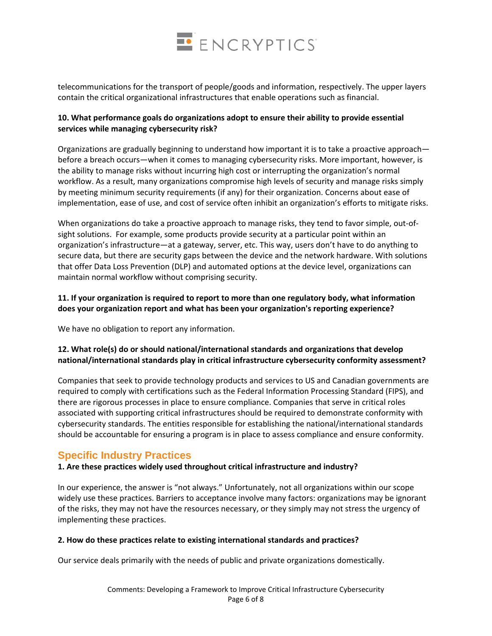

telecommunications for the transport of people/goods and information, respectively. The upper layers contain the critical organizational infrastructures that enable operations such as financial.

# **10. What performance goals do organizations adopt to ensure their ability to provide essential services while managing cybersecurity risk?**

Organizations are gradually beginning to understand how important it is to take a proactive approach before a breach occurs—when it comes to managing cybersecurity risks. More important, however, is the ability to manage risks without incurring high cost or interrupting the organization's normal workflow. As a result, many organizations compromise high levels of security and manage risks simply by meeting minimum security requirements (if any) for their organization. Concerns about ease of implementation, ease of use, and cost of service often inhibit an organization's efforts to mitigate risks.

When organizations do take a proactive approach to manage risks, they tend to favor simple, out-ofsight solutions. For example, some products provide security at a particular point within an organization's infrastructure—at a gateway, server, etc. This way, users don't have to do anything to secure data, but there are security gaps between the device and the network hardware. With solutions that offer Data Loss Prevention (DLP) and automated options at the device level, organizations can maintain normal workflow without comprising security.

# **11. If your organization is required to report to more than one regulatory body, what information does your organization report and what has been your organization's reporting experience?**

We have no obligation to report any information.

# **12. What role(s) do or should national/international standards and organizations that develop national/international standards play in critical infrastructure cybersecurity conformity assessment?**

Companies that seek to provide technology products and services to US and Canadian governments are required to comply with certifications such as the Federal Information Processing Standard (FIPS), and there are rigorous processes in place to ensure compliance. Companies that serve in critical roles associated with supporting critical infrastructures should be required to demonstrate conformity with cybersecurity standards. The entities responsible for establishing the national/international standards should be accountable for ensuring a program is in place to assess compliance and ensure conformity.

# <span id="page-5-0"></span>**Specific Industry Practices**

# **1. Are these practices widely used throughout critical infrastructure and industry?**

In our experience, the answer is "not always." Unfortunately, not all organizations within our scope widely use these practices. Barriers to acceptance involve many factors: organizations may be ignorant of the risks, they may not have the resources necessary, or they simply may not stress the urgency of implementing these practices.

#### **2. How do these practices relate to existing international standards and practices?**

Our service deals primarily with the needs of public and private organizations domestically.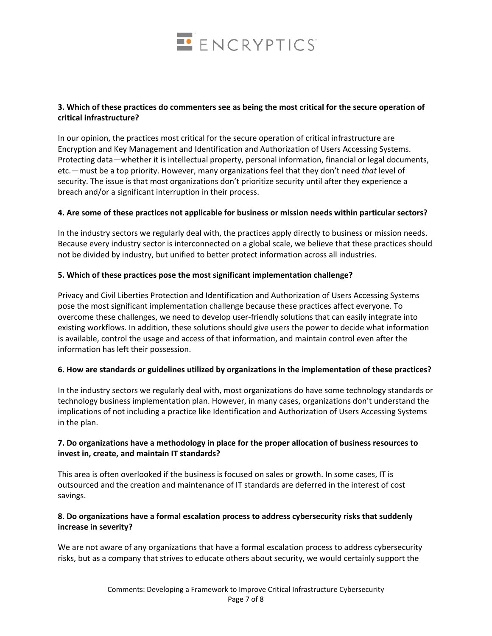

#### **3. Which of these practices do commenters see as being the most critical for the secure operation of critical infrastructure?**

In our opinion, the practices most critical for the secure operation of critical infrastructure are Encryption and Key Management and Identification and Authorization of Users Accessing Systems. Protecting data—whether it is intellectual property, personal information, financial or legal documents, etc.—must be a top priority. However, many organizations feel that they don't need *that* level of security. The issue is that most organizations don't prioritize security until after they experience a breach and/or a significant interruption in their process.

#### **4. Are some of these practices not applicable for business or mission needs within particular sectors?**

In the industry sectors we regularly deal with, the practices apply directly to business or mission needs. Because every industry sector is interconnected on a global scale, we believe that these practices should not be divided by industry, but unified to better protect information across all industries.

#### **5. Which of these practices pose the most significant implementation challenge?**

Privacy and Civil Liberties Protection and Identification and Authorization of Users Accessing Systems pose the most significant implementation challenge because these practices affect everyone. To overcome these challenges, we need to develop user-friendly solutions that can easily integrate into existing workflows. In addition, these solutions should give users the power to decide what information is available, control the usage and access of that information, and maintain control even after the information has left their possession.

#### **6. How are standards or guidelines utilized by organizations in the implementation of these practices?**

In the industry sectors we regularly deal with, most organizations do have some technology standards or technology business implementation plan. However, in many cases, organizations don't understand the implications of not including a practice like Identification and Authorization of Users Accessing Systems in the plan.

#### **7. Do organizations have a methodology in place for the proper allocation of business resources to invest in, create, and maintain IT standards?**

This area is often overlooked if the business is focused on sales or growth. In some cases, IT is outsourced and the creation and maintenance of IT standards are deferred in the interest of cost savings.

# **8. Do organizations have a formal escalation process to address cybersecurity risks that suddenly increase in severity?**

We are not aware of any organizations that have a formal escalation process to address cybersecurity risks, but as a company that strives to educate others about security, we would certainly support the